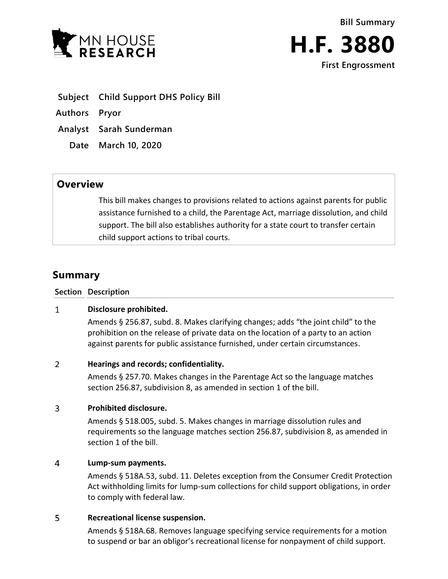



- **Subject Child Support DHS Policy Bill**
- **Authors Pryor**
- **Analyst Sarah Sunderman**
	- **Date March 10, 2020**

## **Overview**

This bill makes changes to provisions related to actions against parents for public assistance furnished to a child, the Parentage Act, marriage dissolution, and child support. The bill also establishes authority for a state court to transfer certain child support actions to tribal courts.

# **Summary**

**Section Description**

#### $\mathbf{1}$ **Disclosure prohibited.**

Amends § 256.87, subd. 8. Makes clarifying changes; adds "the joint child" to the prohibition on the release of private data on the location of a party to an action against parents for public assistance furnished, under certain circumstances.

#### $\overline{2}$ **Hearings and records; confidentiality.**

Amends § 257.70. Makes changes in the Parentage Act so the language matches section 256.87, subdivision 8, as amended in section 1 of the bill.

#### $\overline{3}$ **Prohibited disclosure.**

Amends § 518.005, subd. 5. Makes changes in marriage dissolution rules and requirements so the language matches section 256.87, subdivision 8, as amended in section 1 of the bill.

#### $\overline{4}$ **Lump-sum payments.**

Amends § 518A.53, subd. 11. Deletes exception from the Consumer Credit Protection Act withholding limits for lump-sum collections for child support obligations, in order to comply with federal law.

#### 5 **Recreational license suspension.**

Amends § 518A.68. Removes language specifying service requirements for a motion to suspend or bar an obligor's recreational license for nonpayment of child support.